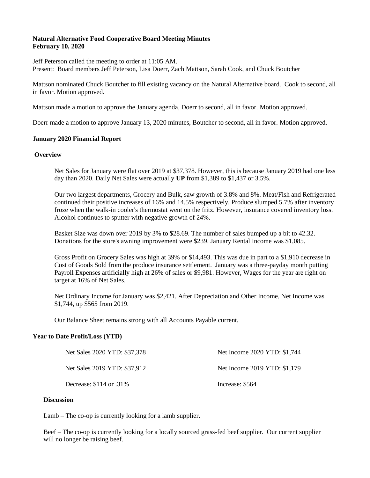## **Natural Alternative Food Cooperative Board Meeting Minutes February 10, 2020**

Jeff Peterson called the meeting to order at 11:05 AM.

Present: Board members Jeff Peterson, Lisa Doerr, Zach Mattson, Sarah Cook, and Chuck Boutcher

Mattson nominated Chuck Boutcher to fill existing vacancy on the Natural Alternative board. Cook to second, all in favor. Motion approved.

Mattson made a motion to approve the January agenda, Doerr to second, all in favor. Motion approved.

Doerr made a motion to approve January 13, 2020 minutes, Boutcher to second, all in favor. Motion approved.

#### **January 2020 Financial Report**

#### **Overview**

Net Sales for January were flat over 2019 at \$37,378. However, this is because January 2019 had one less day than 2020. Daily Net Sales were actually **UP** from \$1,389 to \$1,437 or 3.5%.

Our two largest departments, Grocery and Bulk, saw growth of 3.8% and 8%. Meat/Fish and Refrigerated continued their positive increases of 16% and 14.5% respectively. Produce slumped 5.7% after inventory froze when the walk-in cooler's thermostat went on the fritz. However, insurance covered inventory loss. Alcohol continues to sputter with negative growth of 24%.

Basket Size was down over 2019 by 3% to \$28.69. The number of sales bumped up a bit to 42.32. Donations for the store's awning improvement were \$239. January Rental Income was \$1,085.

Gross Profit on Grocery Sales was high at 39% or \$14,493. This was due in part to a \$1,910 decrease in Cost of Goods Sold from the produce insurance settlement. January was a three-payday month putting Payroll Expenses artificially high at 26% of sales or \$9,981. However, Wages for the year are right on target at 16% of Net Sales.

Net Ordinary Income for January was \$2,421. After Depreciation and Other Income, Net Income was \$1,744, up \$565 from 2019.

Our Balance Sheet remains strong with all Accounts Payable current.

### **Year to Date Profit/Loss (YTD)**

| Net Sales 2020 YTD: \$37,378 | Net Income 2020 YTD: \$1,744 |
|------------------------------|------------------------------|
| Net Sales 2019 YTD: \$37,912 | Net Income 2019 YTD: \$1,179 |
| Decrease: $$114$ or .31%     | Increase: \$564              |

### **Discussion**

Lamb – The co-op is currently looking for a lamb supplier.

Beef – The co-op is currently looking for a locally sourced grass-fed beef supplier. Our current supplier will no longer be raising beef.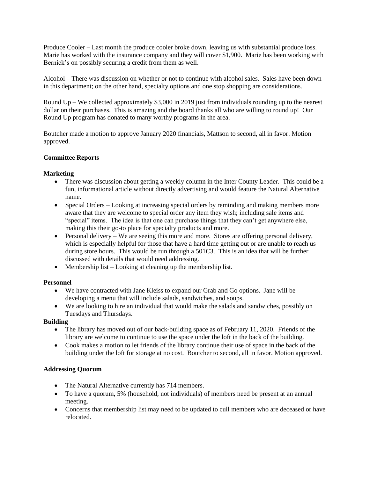Produce Cooler – Last month the produce cooler broke down, leaving us with substantial produce loss. Marie has worked with the insurance company and they will cover \$1,900. Marie has been working with Bernick's on possibly securing a credit from them as well.

Alcohol – There was discussion on whether or not to continue with alcohol sales. Sales have been down in this department; on the other hand, specialty options and one stop shopping are considerations.

Round Up – We collected approximately \$3,000 in 2019 just from individuals rounding up to the nearest dollar on their purchases. This is amazing and the board thanks all who are willing to round up! Our Round Up program has donated to many worthy programs in the area.

Boutcher made a motion to approve January 2020 financials, Mattson to second, all in favor. Motion approved.

## **Committee Reports**

## **Marketing**

- There was discussion about getting a weekly column in the Inter County Leader. This could be a fun, informational article without directly advertising and would feature the Natural Alternative name.
- Special Orders Looking at increasing special orders by reminding and making members more aware that they are welcome to special order any item they wish; including sale items and "special" items. The idea is that one can purchase things that they can't get anywhere else, making this their go-to place for specialty products and more.
- Personal delivery We are seeing this more and more. Stores are offering personal delivery, which is especially helpful for those that have a hard time getting out or are unable to reach us during store hours. This would be run through a 501C3. This is an idea that will be further discussed with details that would need addressing.
- Membership list Looking at cleaning up the membership list.

### **Personnel**

- We have contracted with Jane Kleiss to expand our Grab and Go options. Jane will be developing a menu that will include salads, sandwiches, and soups.
- We are looking to hire an individual that would make the salads and sandwiches, possibly on Tuesdays and Thursdays.

### **Building**

- The library has moved out of our back-building space as of February 11, 2020. Friends of the library are welcome to continue to use the space under the loft in the back of the building.
- Cook makes a motion to let friends of the library continue their use of space in the back of the building under the loft for storage at no cost. Boutcher to second, all in favor. Motion approved.

# **Addressing Quorum**

- The Natural Alternative currently has 714 members.
- To have a quorum, 5% (household, not individuals) of members need be present at an annual meeting.
- Concerns that membership list may need to be updated to cull members who are deceased or have relocated.